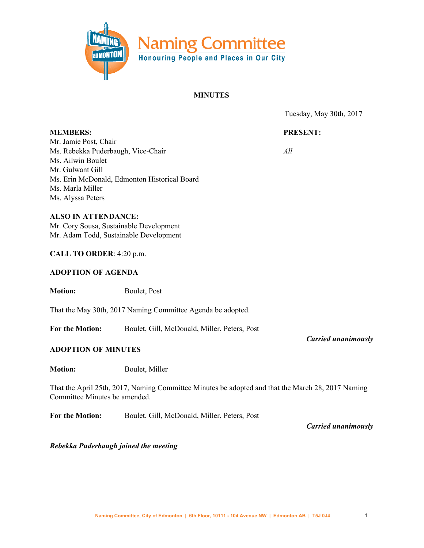

#### **MINUTES**

Tuesday, May 30th, 2017

#### **PRESENT:**

*All*

**MEMBERS:** Mr. Jamie Post, Chair Ms. Rebekka Puderbaugh, Vice-Chair Ms. Ailwin Boulet Mr. Gulwant Gill Ms. Erin McDonald, Edmonton Historical Board Ms. Marla Miller Ms. Alyssa Peters

**ALSO IN ATTENDANCE:** Mr. Cory Sousa, Sustainable Development Mr. Adam Todd, Sustainable Development

#### **CALL TO ORDER**: 4:20 p.m.

#### **ADOPTION OF AGENDA**

**Motion:** Boulet, Post

That the May 30th, 2017 Naming Committee Agenda be adopted.

**For the Motion:** Boulet, Gill, McDonald, Miller, Peters, Post

#### **ADOPTION OF MINUTES**

**Motion:** Boulet, Miller

That the April 25th, 2017, Naming Committee Minutes be adopted and that the March 28, 2017 Naming Committee Minutes be amended.

**For the Motion:** Boulet, Gill, McDonald, Miller, Peters, Post

*Carried unanimously*

*Carried unanimously*

*Rebekka Puderbaugh joined the meeting*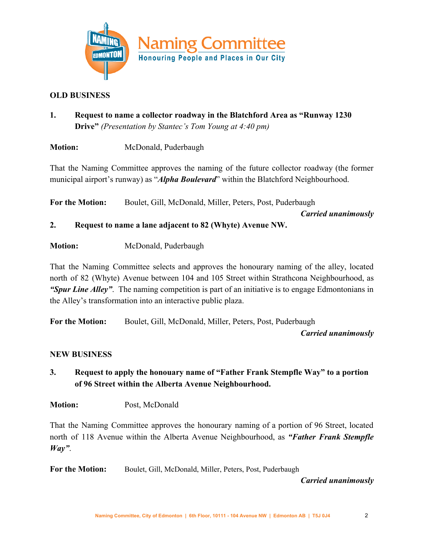

#### **OLD BUSINESS**

**1. Request to name a collector roadway in the Blatchford Area as "Runway 1230 Drive"** *(Presentation by Stantec's Tom Young at 4:40 pm)*

**Motion:** McDonald, Puderbaugh

That the Naming Committee approves the naming of the future collector roadway (the former municipal airport's runway) as "*Alpha Boulevard*" within the Blatchford Neighbourhood.

**For the Motion:** Boulet, Gill, McDonald, Miller, Peters, Post, Puderbaugh

*Carried unanimously*

# **2. Request to name a lane adjacent to 82 (Whyte) Avenue NW.**

**Motion:** McDonald, Puderbaugh

That the Naming Committee selects and approves the honourary naming of the alley, located north of 82 (Whyte) Avenue between 104 and 105 Street within Strathcona Neighbourhood, as *"Spur Line Alley"*. The naming competition is part of an initiative is to engage Edmontonians in the Alley's transformation into an interactive public plaza.

**For the Motion:** Boulet, Gill, McDonald, Miller, Peters, Post, Puderbaugh

*Carried unanimously*

## **NEW BUSINESS**

- **3. Request to apply the honouary name of "Father Frank Stempfle Way" to a portion of 96 Street within the Alberta Avenue Neighbourhood.**
- **Motion:** Post, McDonald

That the Naming Committee approves the honourary naming of a portion of 96 Street, located north of 118 Avenue within the Alberta Avenue Neighbourhood, as *"Father Frank Stempfle Way"*.

**For the Motion:** Boulet, Gill, McDonald, Miller, Peters, Post, Puderbaugh

*Carried unanimously*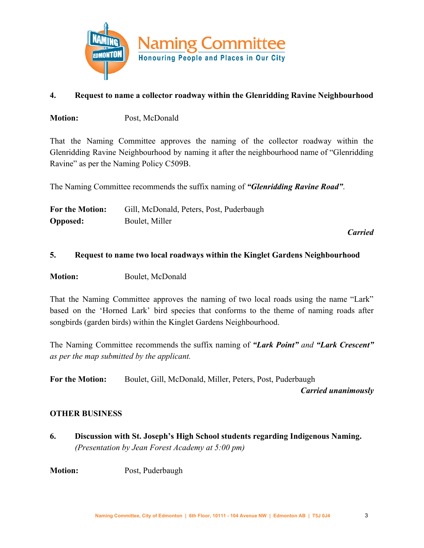

## **4. Request to name a collector roadway within the Glenridding Ravine Neighbourhood**

**Motion:** Post, McDonald

That the Naming Committee approves the naming of the collector roadway within the Glenridding Ravine Neighbourhood by naming it after the neighbourhood name of "Glenridding Ravine" as per the Naming Policy C509B.

The Naming Committee recommends the suffix naming of *"Glenridding Ravine Road"*.

| For the Motion: | Gill, McDonald, Peters, Post, Puderbaugh |
|-----------------|------------------------------------------|
| <b>Opposed:</b> | Boulet, Miller                           |

*Carried*

## **5. Request to name two local roadways within the Kinglet Gardens Neighbourhood**

**Motion:** Boulet, McDonald

That the Naming Committee approves the naming of two local roads using the name "Lark" based on the 'Horned Lark' bird species that conforms to the theme of naming roads after songbirds (garden birds) within the Kinglet Gardens Neighbourhood.

The Naming Committee recommends the suffix naming of *"Lark Point" and "Lark Crescent" as per the map submitted by the applicant.*

**For the Motion:** Boulet, Gill, McDonald, Miller, Peters, Post, Puderbaugh

*Carried unanimously*

## **OTHER BUSINESS**

**6. Discussion with St. Joseph's High School students regarding Indigenous Naming.** *(Presentation by Jean Forest Academy at 5:00 pm)*

**Motion:** Post, Puderbaugh